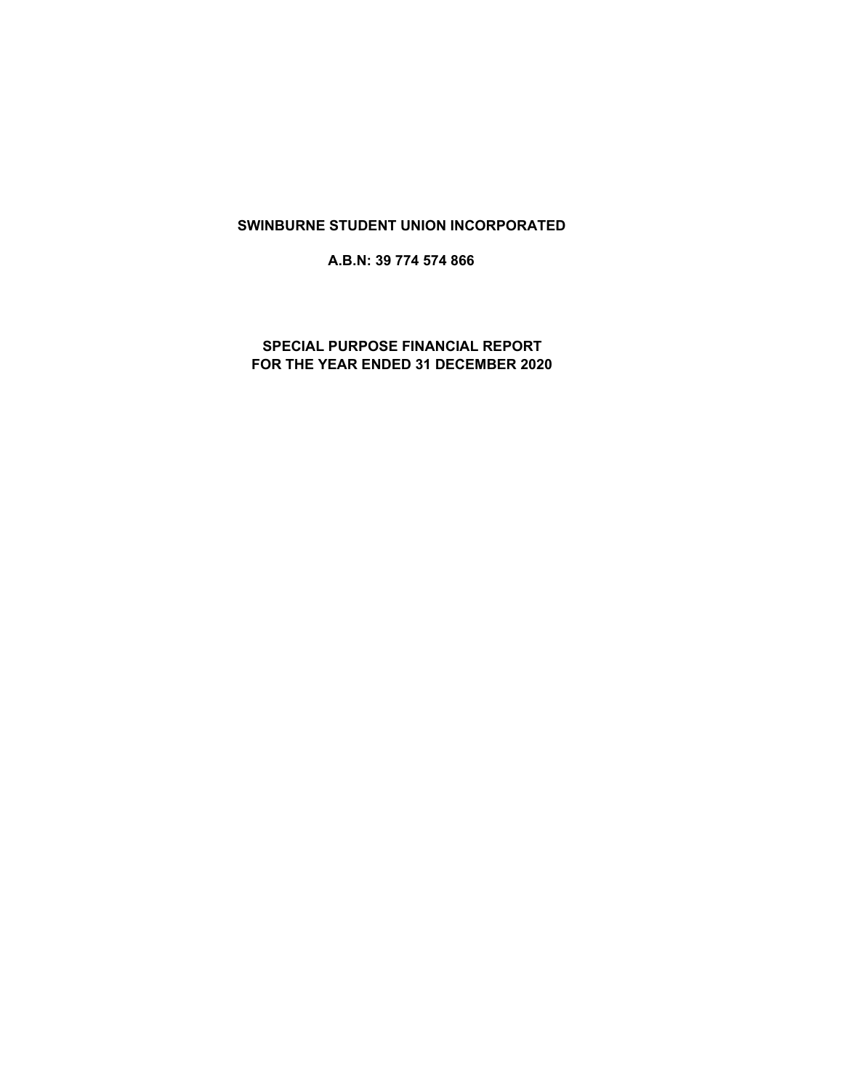# **SWINBURNE STUDENT UNION INCORPORATED**

**A.B.N: 39 774 574 866**

**SPECIAL PURPOSE FINANCIAL REPORT FOR THE YEAR ENDED 31 DECEMBER 2020**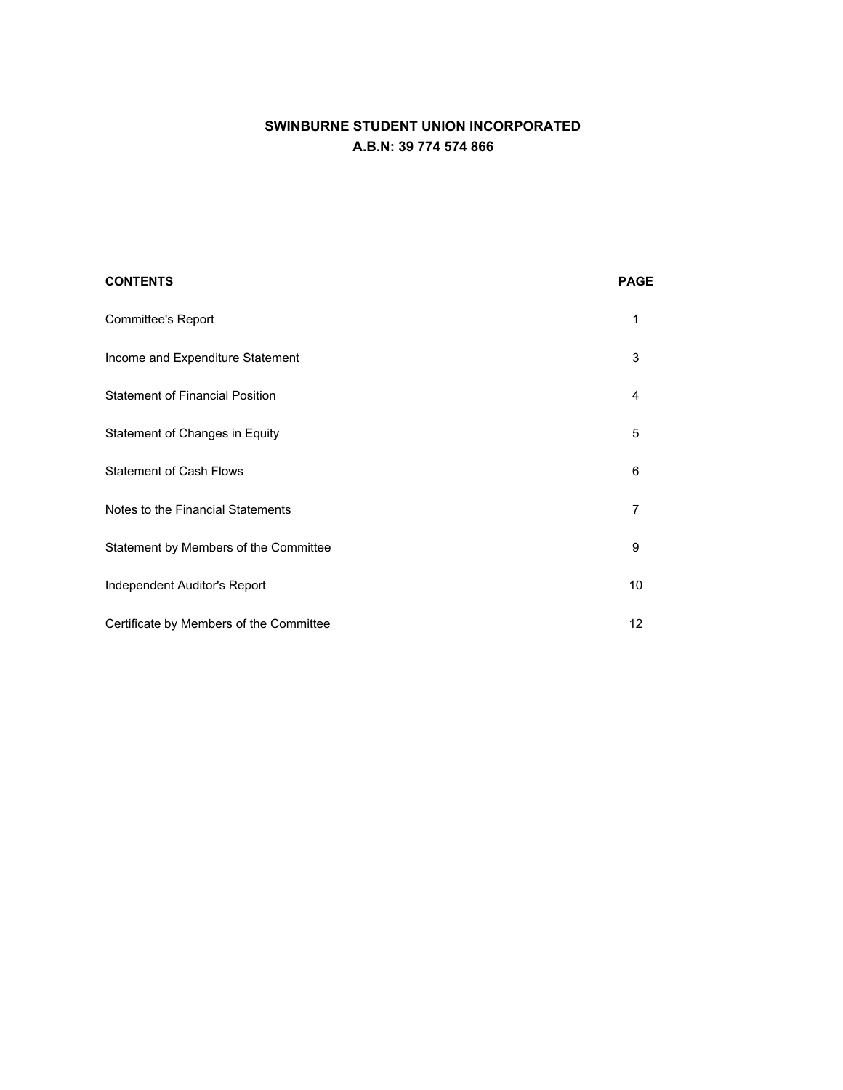# **SWINBURNE STUDENT UNION INCORPORATED A.B.N: 39 774 574 866**

| <b>CONTENTS</b>                         | <b>PAGE</b> |
|-----------------------------------------|-------------|
| <b>Committee's Report</b>               | 1           |
| Income and Expenditure Statement        | 3           |
| <b>Statement of Financial Position</b>  | 4           |
| Statement of Changes in Equity          | 5           |
| <b>Statement of Cash Flows</b>          | 6           |
| Notes to the Financial Statements       | 7           |
| Statement by Members of the Committee   | 9           |
| Independent Auditor's Report            | 10          |
| Certificate by Members of the Committee | 12          |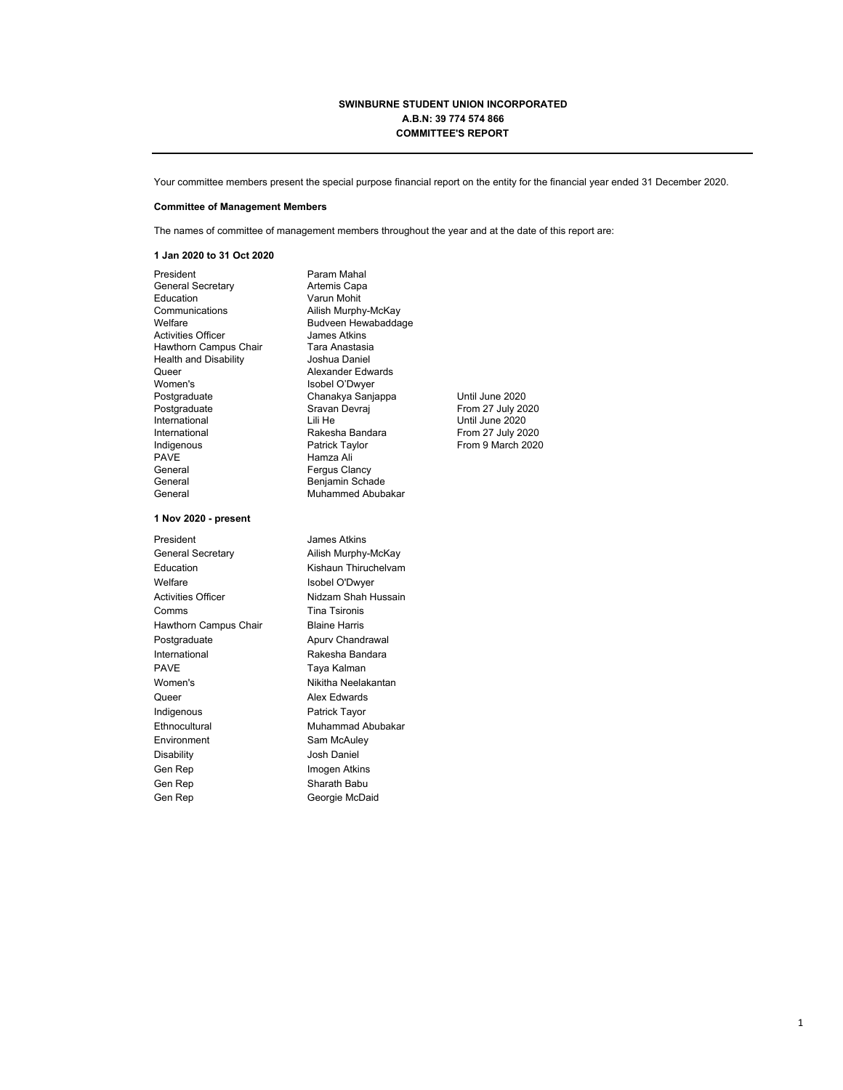### **SWINBURNE STUDENT UNION INCORPORATED A.B.N: 39 774 574 866 COMMITTEE'S REPORT**

Your committee members present the special purpose financial report on the entity for the financial year ended 31 December 2020.

#### **Committee of Management Members**

The names of committee of management members throughout the year and at the date of this report are:

### **1 Jan 2020 to 31 Oct 2020**

President Param Mahal General Secretary **Artemis Capa** Education Varun Mohit<br>Communications Ailish Murph Communications Ailish Murphy-McKay Activities Officer James Atkins<br>Hawthorn Campus Chair Tara Anastasia Hawthorn Campus Chair Tara Anastasia<br>Health and Disability **Tara Anastasia** Health and Disability Queer **Alexander Edwards** Women's **Isobel O'Dwyer**<br> **Postgraduate** Chanakya Sanja PAVE Hamza Ali<br>General General Fergus Cla General Benjamin Schade

### **1 Nov 2020 - present**

President **Internal Student** James Atkins General Secretary **Ailish Murphy-McKay** Education **Kishaun Thiruchelvam** Welfare **ISOBEL O'Dwyer** Activities Officer Nidzam Shah Hussain Comms Tina Tsironis Hawthorn Campus Chair Blaine Harris Postgraduate **Apury Chandrawal** International **Rakesha Bandara** PAVE Taya Kalman Women's **Nikitha Neelakantan** Queer **Alex Edwards** Indigenous **Patrick Tayor** Ethnocultural Muhammad Abubakar Environment Sam McAuley Disability Josh Daniel Gen Rep **Imogen Atkins** Gen Rep Sharath Babu Gen Rep **Georgie McDaid** 

Budveen Hewabaddage<br>James Atkins Postgraduate Chanakya Sanjappa Until June 2020 International Lili He Until June 2020 Indigenous **Patrick Taylor** Patrick Taylor From 9 March 2020 Fergus Clancy Muhammed Abubakar

From 27 July 2020 From 27 July 2020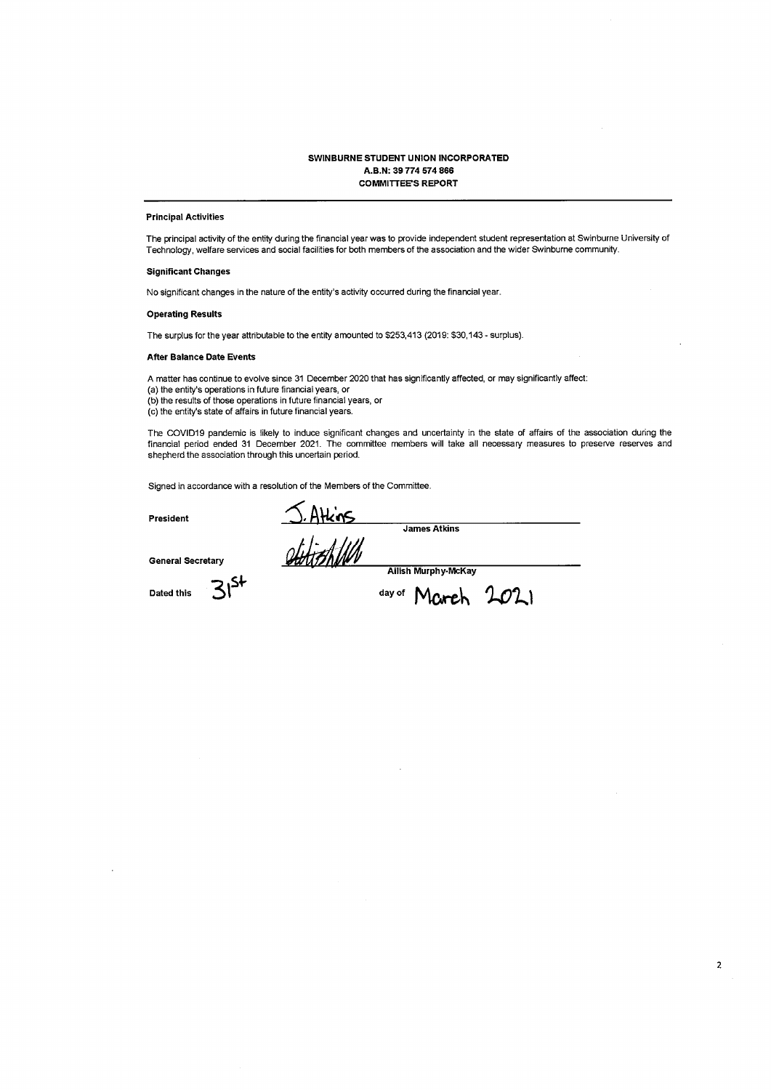### SWINBURNE STUDENT UNION INCORPORATED A.B.N: 39 774 574 866 **COMMITTEE'S REPORT**

### **Principal Activities**

The principal activity of the entity during the financial year was to provide independent student representation at Swinburne University of Technology, welfare services and social facilities for both members of the association and the wider Swinburne community.

### **Significant Changes**

No significant changes in the nature of the entity's activity occurred during the financial year.

### **Operating Results**

The surplus for the year attributable to the entity amounted to \$253,413 (2019: \$30,143 - surplus).

#### **After Balance Date Events**

A matter has continue to evolve since 31 December 2020 that has significantly affected, or may significantly affect: (a) the entity's operations in future financial years, or (b) the results of those operations in future financial years, or

(c) the entity's state of affairs in future financial years.

The COVID19 pandemic is likely to induce significant changes and uncertainty in the state of affairs of the association during the financial period ended 31 December 2021. The committee members will take all necessary measures to preserve reserves and shepherd the association through this uncertain period.

Signed in accordance with a resolution of the Members of the Committee.

President

S. Atkins James Atkins

**General Secretary** 

 $31^{5+}$ 

**Dated this** 

Ailish Murphy-McKay

day of March 2021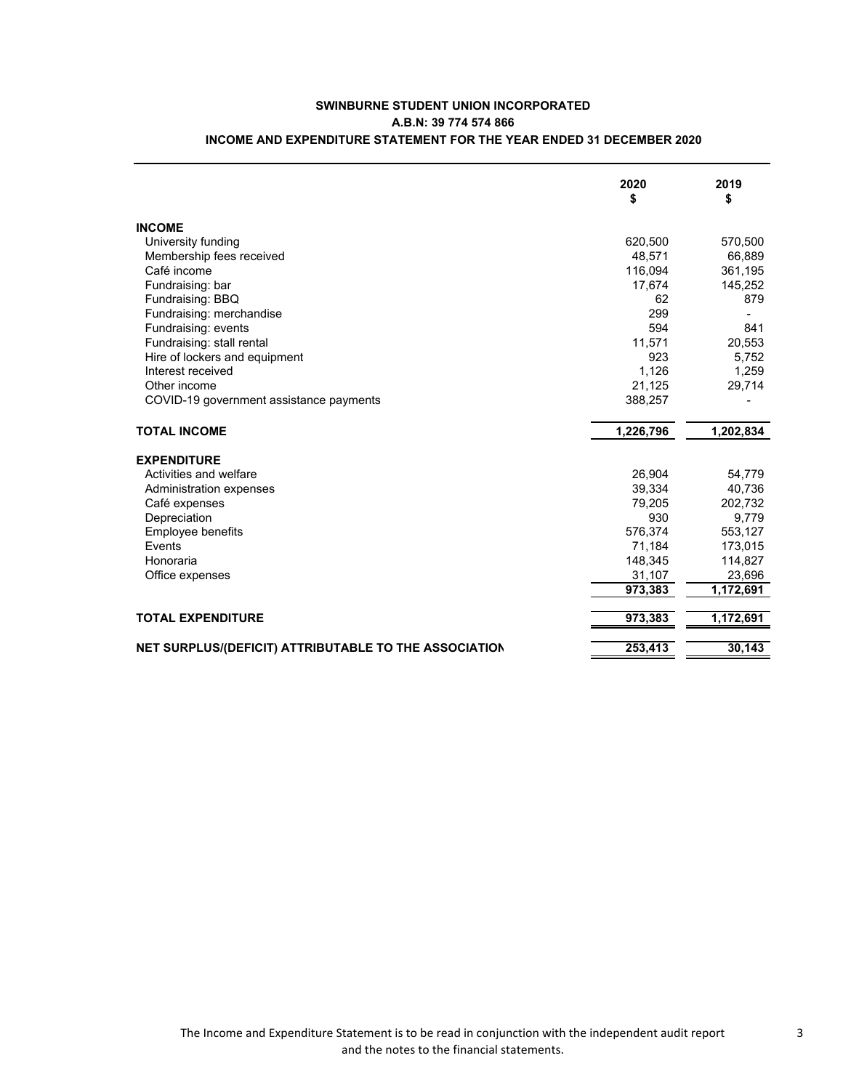|                                                       | 2020<br>\$ | 2019<br>\$ |
|-------------------------------------------------------|------------|------------|
| <b>INCOME</b>                                         |            |            |
| University funding                                    | 620,500    | 570,500    |
| Membership fees received                              | 48,571     | 66,889     |
| Café income                                           | 116,094    | 361,195    |
| Fundraising: bar                                      | 17,674     | 145,252    |
| Fundraising: BBQ                                      | 62         | 879        |
| Fundraising: merchandise                              | 299        |            |
| Fundraising: events                                   | 594        | 841        |
| Fundraising: stall rental                             | 11,571     | 20,553     |
| Hire of lockers and equipment                         | 923        | 5,752      |
| Interest received                                     | 1,126      | 1,259      |
| Other income                                          | 21,125     | 29,714     |
| COVID-19 government assistance payments               | 388,257    |            |
| <b>TOTAL INCOME</b>                                   | 1,226,796  | 1,202,834  |
| <b>EXPENDITURE</b>                                    |            |            |
| Activities and welfare                                | 26,904     | 54,779     |
| Administration expenses                               | 39,334     | 40,736     |
| Café expenses                                         | 79,205     | 202,732    |
| Depreciation                                          | 930        | 9,779      |
| Employee benefits                                     | 576,374    | 553,127    |
| Events                                                | 71,184     | 173,015    |
| Honoraria                                             | 148,345    | 114,827    |
| Office expenses                                       | 31,107     | 23,696     |
|                                                       | 973,383    | 1.172.691  |
| <b>TOTAL EXPENDITURE</b>                              | 973,383    | 1,172,691  |
| NET SURPLUS/(DEFICIT) ATTRIBUTABLE TO THE ASSOCIATION | 253,413    | 30.143     |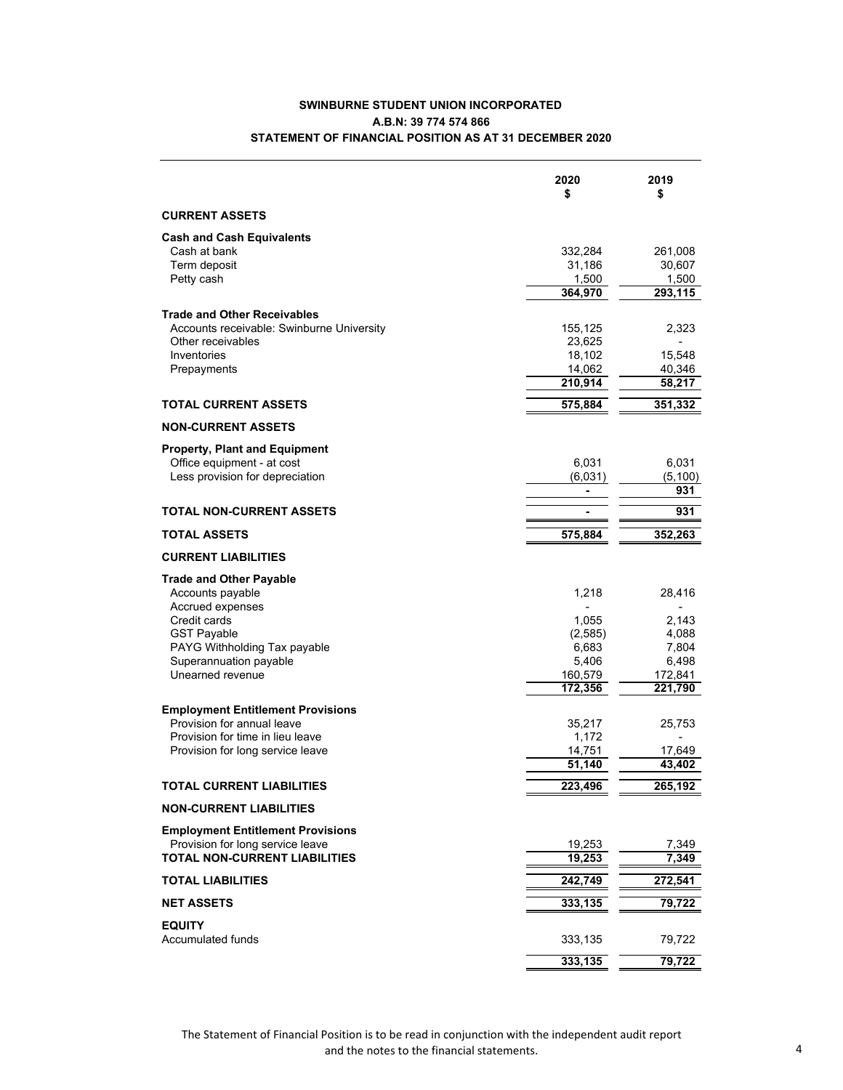## **SWINBURNE STUDENT UNION INCORPORATED A.B.N: 39 774 574 866 STATEMENT OF FINANCIAL POSITION AS AT 31 DECEMBER 2020**

| <b>CURRENT ASSETS</b><br><b>Cash and Cash Equivalents</b><br>Cash at bank<br>332,284<br>Term deposit<br>31,186<br>Petty cash<br>1,500 | 261,008<br>30,607<br>1,500<br>293,115<br>2,323<br>15,548 |
|---------------------------------------------------------------------------------------------------------------------------------------|----------------------------------------------------------|
|                                                                                                                                       |                                                          |
|                                                                                                                                       |                                                          |
|                                                                                                                                       |                                                          |
|                                                                                                                                       |                                                          |
|                                                                                                                                       |                                                          |
| 364,970                                                                                                                               |                                                          |
| <b>Trade and Other Receivables</b>                                                                                                    |                                                          |
| Accounts receivable: Swinburne University<br>155,125                                                                                  |                                                          |
| 23,625<br>Other receivables                                                                                                           |                                                          |
| Inventories<br>18,102                                                                                                                 |                                                          |
| 14,062<br>Prepayments<br>210,914                                                                                                      | 40,346<br>58,217                                         |
|                                                                                                                                       |                                                          |
| 575,884<br><b>TOTAL CURRENT ASSETS</b>                                                                                                | 351,332                                                  |
| <b>NON-CURRENT ASSETS</b>                                                                                                             |                                                          |
| <b>Property, Plant and Equipment</b>                                                                                                  |                                                          |
| Office equipment - at cost<br>6,031                                                                                                   | 6,031                                                    |
| Less provision for depreciation<br>(6,031)                                                                                            | (5, 100)                                                 |
| ä,                                                                                                                                    | 931                                                      |
| <b>TOTAL NON-CURRENT ASSETS</b>                                                                                                       | 931                                                      |
| 575,884<br>TOTAL ASSETS                                                                                                               | 352,263                                                  |
| <b>CURRENT LIABILITIES</b>                                                                                                            |                                                          |
| <b>Trade and Other Payable</b>                                                                                                        |                                                          |
| Accounts payable<br>1,218                                                                                                             | 28,416                                                   |
| Accrued expenses                                                                                                                      |                                                          |
| Credit cards<br>1,055                                                                                                                 | 2,143                                                    |
| <b>GST Payable</b><br>(2,585)                                                                                                         | 4,088                                                    |
| PAYG Withholding Tax payable<br>6,683                                                                                                 | 7,804                                                    |
| Superannuation payable<br>5,406                                                                                                       | 6,498                                                    |
| Unearned revenue<br>160,579<br>172,356                                                                                                | 172,841<br>221,790                                       |
|                                                                                                                                       |                                                          |
| <b>Employment Entitlement Provisions</b><br>Provision for annual leave<br>35,217                                                      | 25,753                                                   |
| Provision for time in lieu leave<br>1,172                                                                                             |                                                          |
| 14,751<br>Provision for long service leave                                                                                            | 17,649                                                   |
| 51,140                                                                                                                                | 43,402                                                   |
| 223,496<br>TOTAL CURRENT LIABILITIES                                                                                                  | 265,192                                                  |
| <b>NON-CURRENT LIABILITIES</b>                                                                                                        |                                                          |
| <b>Employment Entitlement Provisions</b>                                                                                              |                                                          |
| Provision for long service leave<br>19,253                                                                                            | 7,349                                                    |
| <b>TOTAL NON-CURRENT LIABILITIES</b><br>19,253                                                                                        | 7,349                                                    |
| 242,749<br><b>TOTAL LIABILITIES</b>                                                                                                   | 272,541                                                  |
| 333,135<br><b>NET ASSETS</b>                                                                                                          | 79,722                                                   |
| <b>EQUITY</b>                                                                                                                         |                                                          |
| <b>Accumulated funds</b><br>333,135                                                                                                   | 79,722                                                   |
| 333,135                                                                                                                               | 79,722                                                   |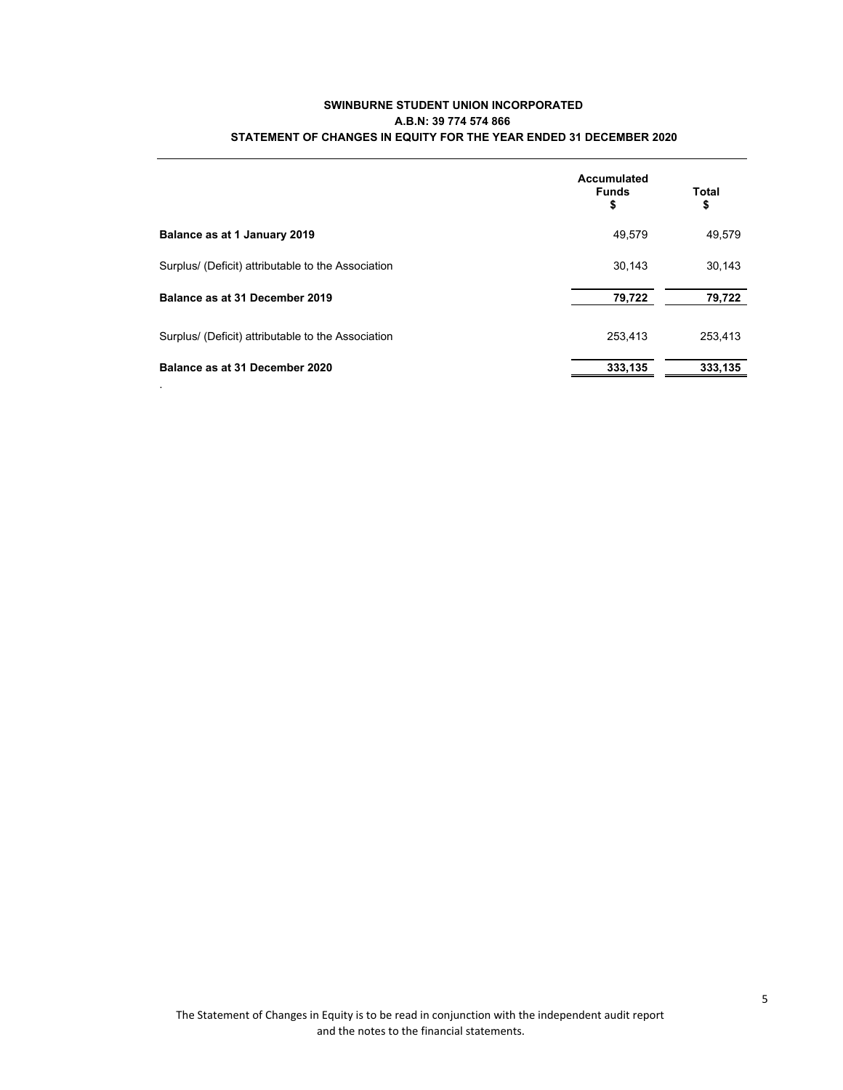## **SWINBURNE STUDENT UNION INCORPORATED A.B.N: 39 774 574 866 STATEMENT OF CHANGES IN EQUITY FOR THE YEAR ENDED 31 DECEMBER 2020**

|                                                    | Accumulated<br><b>Funds</b><br>\$ | Total<br>\$ |
|----------------------------------------------------|-----------------------------------|-------------|
| Balance as at 1 January 2019                       | 49.579                            | 49,579      |
| Surplus/ (Deficit) attributable to the Association | 30.143                            | 30,143      |
| Balance as at 31 December 2019                     | 79,722                            | 79,722      |
| Surplus/ (Deficit) attributable to the Association | 253.413                           | 253,413     |
| Balance as at 31 December 2020                     | 333.135                           | 333.135     |

.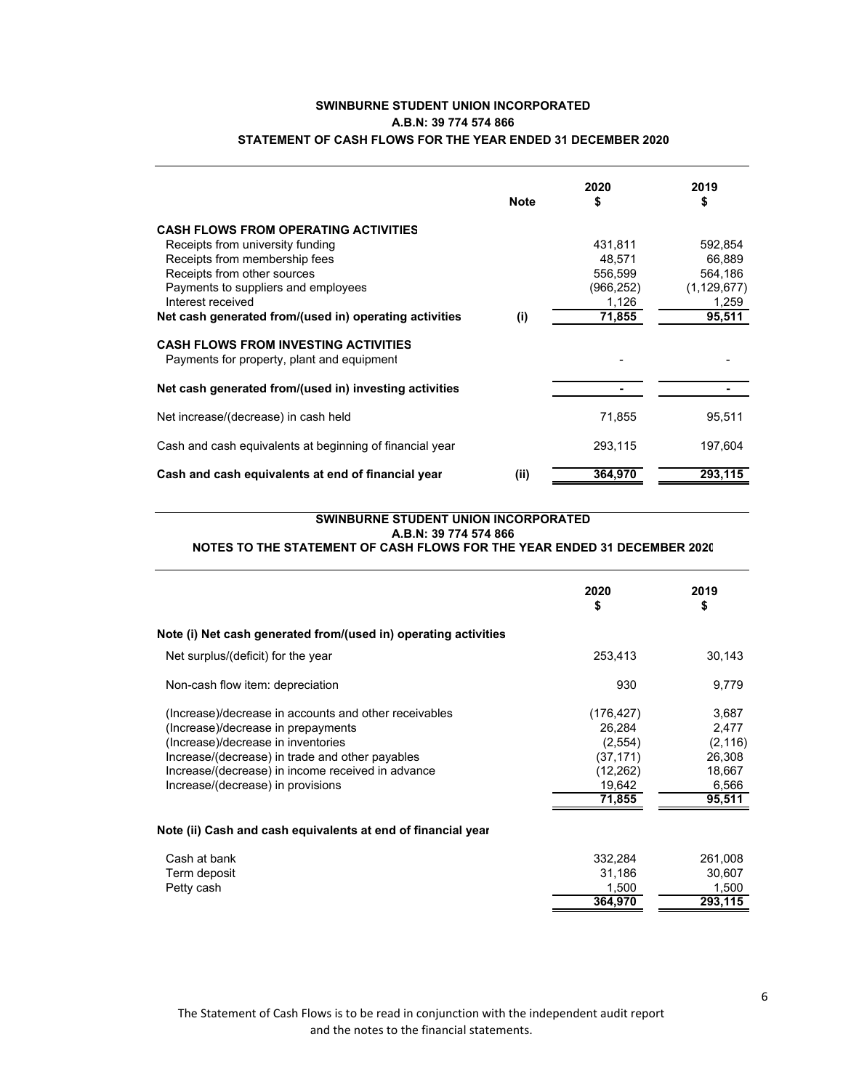# **SWINBURNE STUDENT UNION INCORPORATED A.B.N: 39 774 574 866 STATEMENT OF CASH FLOWS FOR THE YEAR ENDED 31 DECEMBER 2020**

|                                                                                           | <b>Note</b> | 2020<br>\$ | 2019<br>\$    |
|-------------------------------------------------------------------------------------------|-------------|------------|---------------|
| <b>CASH FLOWS FROM OPERATING ACTIVITIES</b>                                               |             |            |               |
| Receipts from university funding                                                          |             | 431,811    | 592.854       |
| Receipts from membership fees                                                             |             | 48.571     | 66.889        |
| Receipts from other sources                                                               |             | 556,599    | 564,186       |
| Payments to suppliers and employees                                                       |             | (966, 252) | (1, 129, 677) |
| Interest received                                                                         |             | 1,126      | 1,259         |
| Net cash generated from/(used in) operating activities                                    | (i)         | 71,855     | 95,511        |
| <b>CASH FLOWS FROM INVESTING ACTIVITIES</b><br>Payments for property, plant and equipment |             |            |               |
| Net cash generated from/(used in) investing activities                                    |             |            |               |
| Net increase/(decrease) in cash held                                                      |             | 71,855     | 95,511        |
| Cash and cash equivalents at beginning of financial year                                  |             | 293,115    | 197.604       |
| Cash and cash equivalents at end of financial year                                        | (ii)        | 364,970    | 293,115       |

# **SWINBURNE STUDENT UNION INCORPORATED A.B.N: 39 774 574 866**

# **NOTES TO THE STATEMENT OF CASH FLOWS FOR THE YEAR ENDED 31 DECEMBER 2020**

|                                                                 | 2020<br>\$ | 2019<br>\$ |
|-----------------------------------------------------------------|------------|------------|
| Note (i) Net cash generated from/(used in) operating activities |            |            |
| Net surplus/(deficit) for the year                              | 253,413    | 30,143     |
| Non-cash flow item: depreciation                                | 930        | 9,779      |
| (Increase)/decrease in accounts and other receivables           | (176, 427) | 3,687      |
| (Increase)/decrease in prepayments                              | 26,284     | 2,477      |
| (Increase)/decrease in inventories                              | (2,554)    | (2, 116)   |
| Increase/(decrease) in trade and other payables                 | (37, 171)  | 26,308     |
| Increase/(decrease) in income received in advance               | (12, 262)  | 18,667     |
| Increase/(decrease) in provisions                               | 19,642     | 6,566      |
|                                                                 | 71,855     | 95,511     |
| Note (ii) Cash and cash equivalents at end of financial year    |            |            |
| Cash at bank                                                    | 332,284    | 261,008    |
| Term deposit                                                    | 31,186     | 30,607     |
| Petty cash                                                      | 1.500      | 1,500      |
|                                                                 | 364,970    | 293,115    |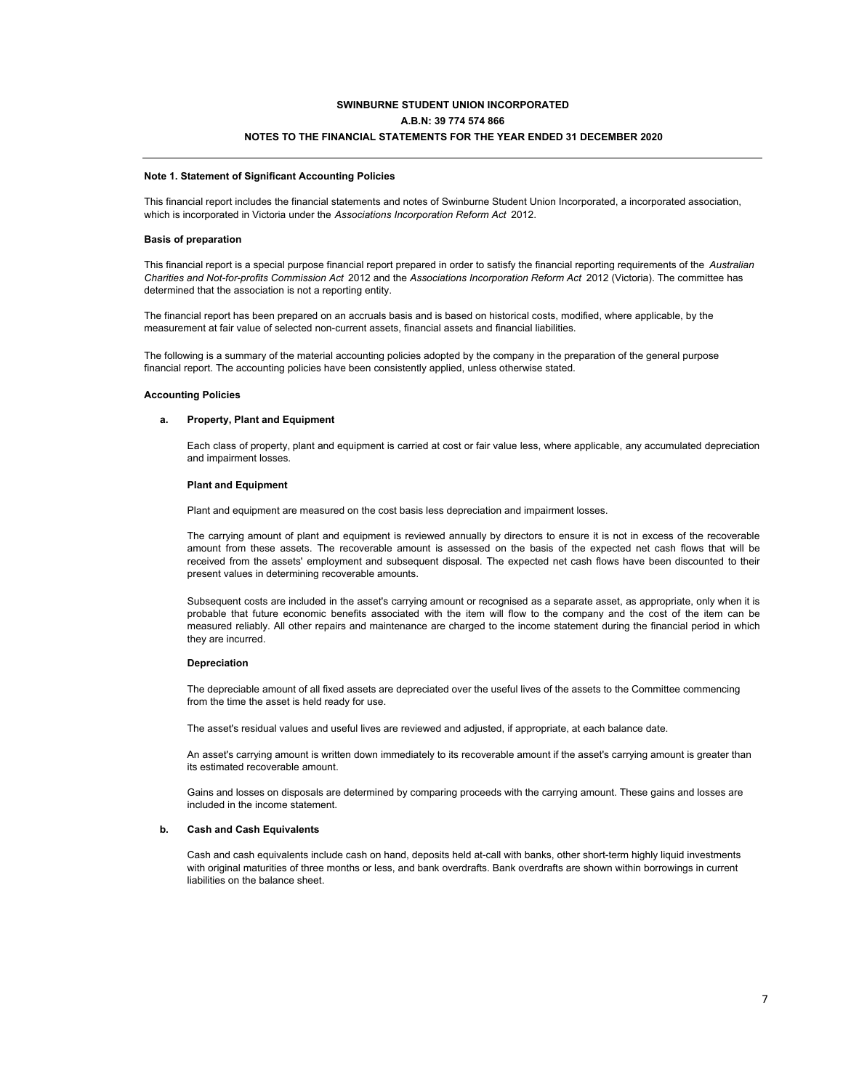## **SWINBURNE STUDENT UNION INCORPORATED A.B.N: 39 774 574 866 NOTES TO THE FINANCIAL STATEMENTS FOR THE YEAR ENDED 31 DECEMBER 2020**

#### **Note 1. Statement of Significant Accounting Policies**

This financial report includes the financial statements and notes of Swinburne Student Union Incorporated, a incorporated association, which is incorporated in Victoria under the *Associations Incorporation Reform Act* 2012.

#### **Basis of preparation**

This financial report is a special purpose financial report prepared in order to satisfy the financial reporting requirements of the *Australian Charities and Not-for-profits Commission Act* 2012 and the *Associations Incorporation Reform Act* 2012 (Victoria). The committee has determined that the association is not a reporting entity.

The financial report has been prepared on an accruals basis and is based on historical costs, modified, where applicable, by the measurement at fair value of selected non-current assets, financial assets and financial liabilities.

The following is a summary of the material accounting policies adopted by the company in the preparation of the general purpose financial report. The accounting policies have been consistently applied, unless otherwise stated.

#### **Accounting Policies**

### **a. Property, Plant and Equipment**

Each class of property, plant and equipment is carried at cost or fair value less, where applicable, any accumulated depreciation and impairment losses.

#### **Plant and Equipment**

Plant and equipment are measured on the cost basis less depreciation and impairment losses.

The carrying amount of plant and equipment is reviewed annually by directors to ensure it is not in excess of the recoverable amount from these assets. The recoverable amount is assessed on the basis of the expected net cash flows that will be received from the assets' employment and subsequent disposal. The expected net cash flows have been discounted to their present values in determining recoverable amounts.

Subsequent costs are included in the asset's carrying amount or recognised as a separate asset, as appropriate, only when it is probable that future economic benefits associated with the item will flow to the company and the cost of the item can be measured reliably. All other repairs and maintenance are charged to the income statement during the financial period in which they are incurred.

### **Depreciation**

The depreciable amount of all fixed assets are depreciated over the useful lives of the assets to the Committee commencing from the time the asset is held ready for use.

The asset's residual values and useful lives are reviewed and adjusted, if appropriate, at each balance date.

An asset's carrying amount is written down immediately to its recoverable amount if the asset's carrying amount is greater than its estimated recoverable amount.

Gains and losses on disposals are determined by comparing proceeds with the carrying amount. These gains and losses are included in the income statement.

### **b. Cash and Cash Equivalents**

Cash and cash equivalents include cash on hand, deposits held at-call with banks, other short-term highly liquid investments with original maturities of three months or less, and bank overdrafts. Bank overdrafts are shown within borrowings in current liabilities on the balance sheet.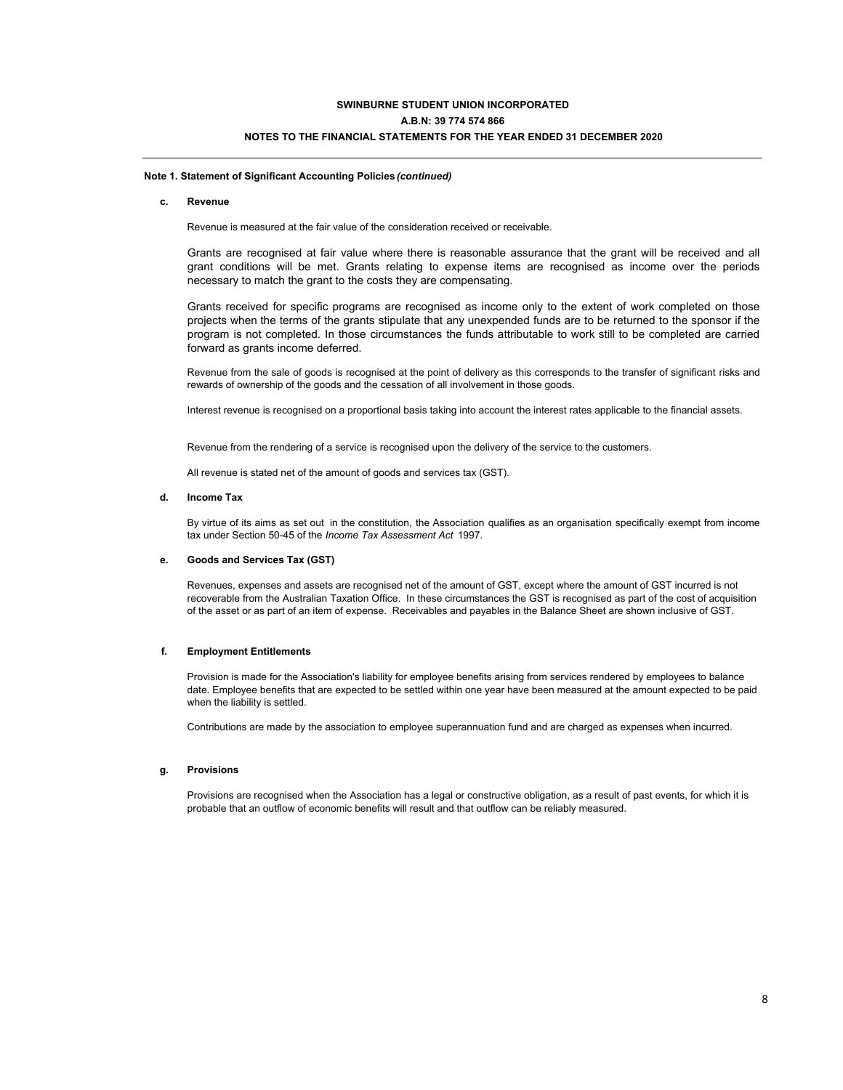## **SWINBURNE STUDENT UNION INCORPORATED A.B.N: 39 774 574 866 NOTES TO THE FINANCIAL STATEMENTS FOR THE YEAR ENDED 31 DECEMBER 2020**

### **Note 1. Statement of Significant Accounting Policies** *(continued)*

### **c. Revenue**

Revenue is measured at the fair value of the consideration received or receivable.

Grants are recognised at fair value where there is reasonable assurance that the grant will be received and all grant conditions will be met. Grants relating to expense items are recognised as income over the periods necessary to match the grant to the costs they are compensating.

Grants received for specific programs are recognised as income only to the extent of work completed on those projects when the terms of the grants stipulate that any unexpended funds are to be returned to the sponsor if the program is not completed. In those circumstances the funds attributable to work still to be completed are carried forward as grants income deferred.

Revenue from the sale of goods is recognised at the point of delivery as this corresponds to the transfer of significant risks and rewards of ownership of the goods and the cessation of all involvement in those goods.

Interest revenue is recognised on a proportional basis taking into account the interest rates applicable to the financial assets.

Revenue from the rendering of a service is recognised upon the delivery of the service to the customers.

All revenue is stated net of the amount of goods and services tax (GST).

### **d. Income Tax**

By virtue of its aims as set out in the constitution, the Association qualifies as an organisation specifically exempt from income tax under Section 50-45 of the *Income Tax Assessment Act* 1997.

#### **e. Goods and Services Tax (GST)**

Revenues, expenses and assets are recognised net of the amount of GST, except where the amount of GST incurred is not recoverable from the Australian Taxation Office. In these circumstances the GST is recognised as part of the cost of acquisition of the asset or as part of an item of expense. Receivables and payables in the Balance Sheet are shown inclusive of GST.

### **f. Employment Entitlements**

Provision is made for the Association's liability for employee benefits arising from services rendered by employees to balance date. Employee benefits that are expected to be settled within one year have been measured at the amount expected to be paid when the liability is settled.

Contributions are made by the association to employee superannuation fund and are charged as expenses when incurred.

### **g. Provisions**

Provisions are recognised when the Association has a legal or constructive obligation, as a result of past events, for which it is probable that an outflow of economic benefits will result and that outflow can be reliably measured.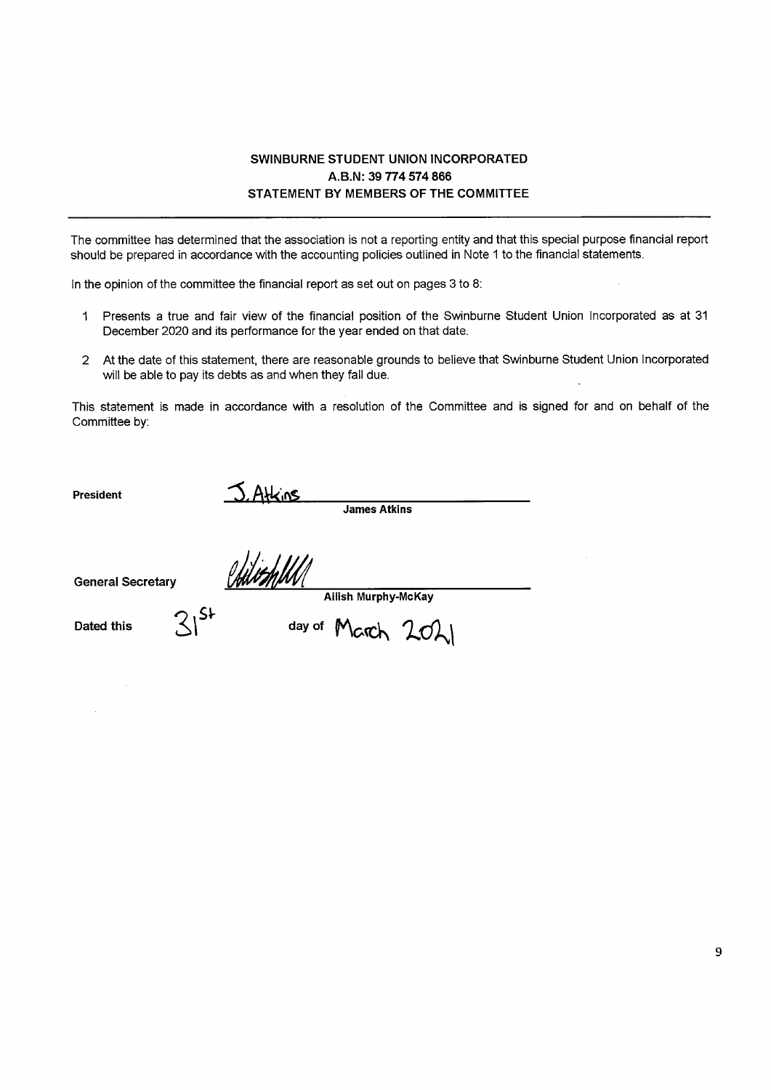# SWINBURNE STUDENT UNION INCORPORATED A.B.N: 39 774 574 866 STATEMENT BY MEMBERS OF THE COMMITTEE

The committee has determined that the association is not a reporting entity and that this special purpose financial report should be prepared in accordance with the accounting policies outlined in Note 1 to the financial statements.

In the opinion of the committee the financial report as set out on pages 3 to 8:

- 1 Presents a true and fair view of the financial position of the Swinburne Student Union Incorporated as at 31 December 2020 and its performance for the year ended on that date.
- 2 At the date of this statement, there are reasonable grounds to believe that Swinburne Student Union Incorporated will be able to pay its debts as and when they fall due.

This statement is made in accordance with a resolution of the Committee and is signed for and on behalf of the Committee by:

**President** 

**James Atkins** 

**General Secretary** 

S. Atkins<br>Uddith/ **Ailish Murphy-McKay** 

Dated this

day of March 2021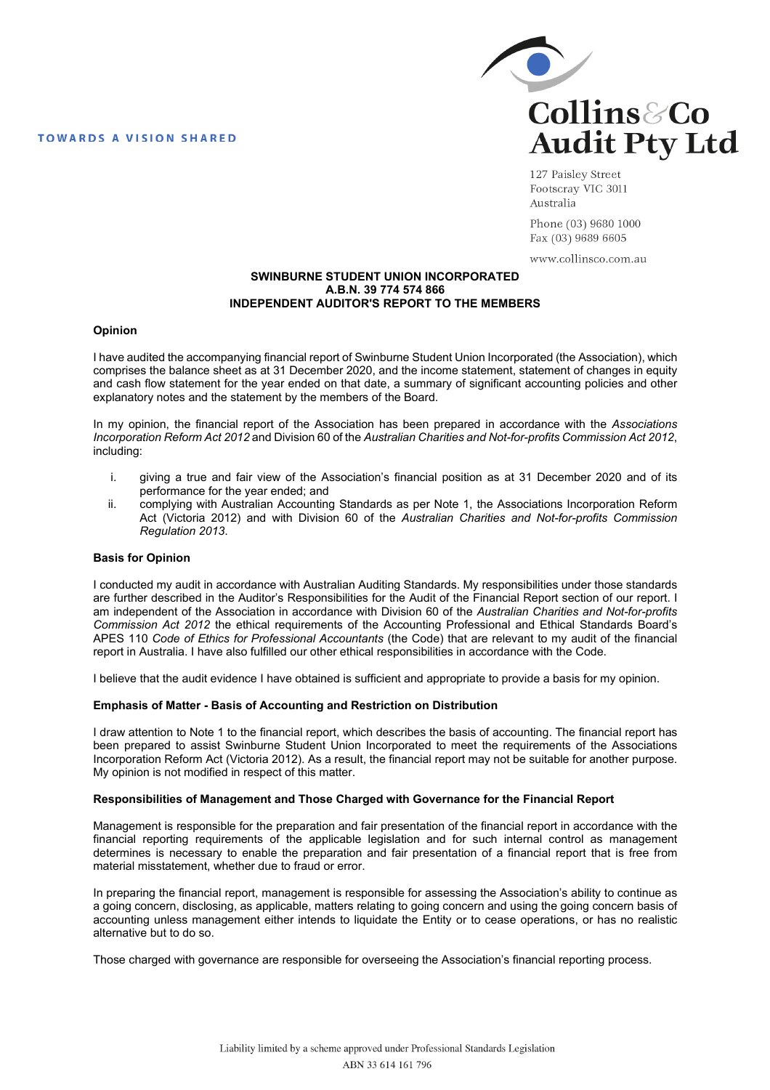**TOWARDS A VISION SHARED** 



127 Paisley Street Footscray VIC 3011 Australia

Phone (03) 9680 1000 Fax (03) 9689 6605

www.collinsco.com.au

## **SWINBURNE STUDENT UNION INCORPORATED A.B.N. 39 774 574 866 INDEPENDENT AUDITOR'S REPORT TO THE MEMBERS**

### **Opinion**

I have audited the accompanying financial report of Swinburne Student Union Incorporated (the Association), which comprises the balance sheet as at 31 December 2020, and the income statement, statement of changes in equity and cash flow statement for the year ended on that date, a summary of significant accounting policies and other explanatory notes and the statement by the members of the Board.

In my opinion, the financial report of the Association has been prepared in accordance with the *Associations Incorporation Reform Act 2012* and Division 60 of the *Australian Charities and Not-for-profits Commission Act 2012*, including:

- i. giving a true and fair view of the Association's financial position as at 31 December 2020 and of its performance for the year ended; and
- ii. complying with Australian Accounting Standards as per Note 1, the Associations Incorporation Reform Act (Victoria 2012) and with Division 60 of the *Australian Charities and Not-for-profits Commission Regulation 2013*.

## **Basis for Opinion**

I conducted my audit in accordance with Australian Auditing Standards. My responsibilities under those standards are further described in the Auditor's Responsibilities for the Audit of the Financial Report section of our report. I am independent of the Association in accordance with Division 60 of the *Australian Charities and Not-for-profits Commission Act 2012* the ethical requirements of the Accounting Professional and Ethical Standards Board's APES 110 *Code of Ethics for Professional Accountants* (the Code) that are relevant to my audit of the financial report in Australia. I have also fulfilled our other ethical responsibilities in accordance with the Code.

I believe that the audit evidence I have obtained is sufficient and appropriate to provide a basis for my opinion.

## **Emphasis of Matter - Basis of Accounting and Restriction on Distribution**

I draw attention to Note 1 to the financial report, which describes the basis of accounting. The financial report has been prepared to assist Swinburne Student Union Incorporated to meet the requirements of the Associations Incorporation Reform Act (Victoria 2012). As a result, the financial report may not be suitable for another purpose. My opinion is not modified in respect of this matter.

## **Responsibilities of Management and Those Charged with Governance for the Financial Report**

Management is responsible for the preparation and fair presentation of the financial report in accordance with the financial reporting requirements of the applicable legislation and for such internal control as management determines is necessary to enable the preparation and fair presentation of a financial report that is free from material misstatement, whether due to fraud or error.

In preparing the financial report, management is responsible for assessing the Association's ability to continue as a going concern, disclosing, as applicable, matters relating to going concern and using the going concern basis of accounting unless management either intends to liquidate the Entity or to cease operations, or has no realistic alternative but to do so.

Those charged with governance are responsible for overseeing the Association's financial reporting process.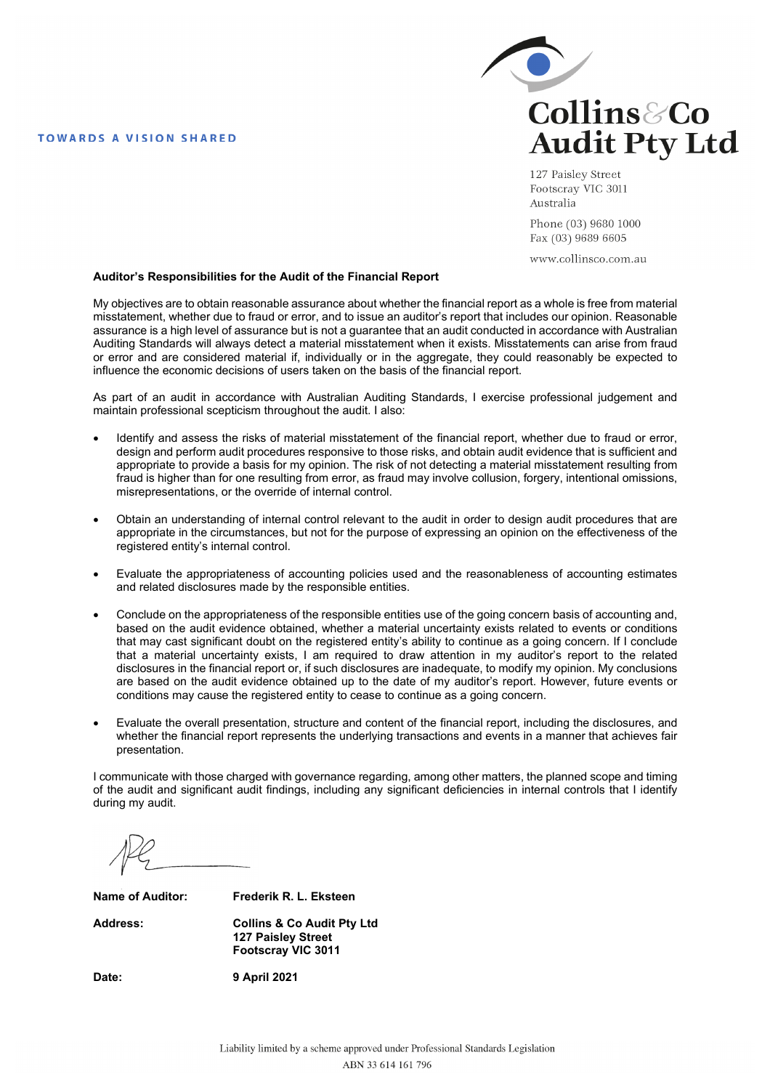## **TOWARDS A VISION SHARED**



127 Paisley Street Footscray VIC 3011 Australia

Phone (03) 9680 1000 Fax (03) 9689 6605

www.collinsco.com.au

### **Auditor's Responsibilities for the Audit of the Financial Report**

My objectives are to obtain reasonable assurance about whether the financial report as a whole is free from material misstatement, whether due to fraud or error, and to issue an auditor's report that includes our opinion. Reasonable assurance is a high level of assurance but is not a guarantee that an audit conducted in accordance with Australian Auditing Standards will always detect a material misstatement when it exists. Misstatements can arise from fraud or error and are considered material if, individually or in the aggregate, they could reasonably be expected to influence the economic decisions of users taken on the basis of the financial report.

As part of an audit in accordance with Australian Auditing Standards, I exercise professional judgement and maintain professional scepticism throughout the audit. I also:

- Identify and assess the risks of material misstatement of the financial report, whether due to fraud or error, design and perform audit procedures responsive to those risks, and obtain audit evidence that is sufficient and appropriate to provide a basis for my opinion. The risk of not detecting a material misstatement resulting from fraud is higher than for one resulting from error, as fraud may involve collusion, forgery, intentional omissions, misrepresentations, or the override of internal control.
- Obtain an understanding of internal control relevant to the audit in order to design audit procedures that are appropriate in the circumstances, but not for the purpose of expressing an opinion on the effectiveness of the registered entity's internal control.
- Evaluate the appropriateness of accounting policies used and the reasonableness of accounting estimates and related disclosures made by the responsible entities.
- Conclude on the appropriateness of the responsible entities use of the going concern basis of accounting and, based on the audit evidence obtained, whether a material uncertainty exists related to events or conditions that may cast significant doubt on the registered entity's ability to continue as a going concern. If I conclude that a material uncertainty exists, I am required to draw attention in my auditor's report to the related disclosures in the financial report or, if such disclosures are inadequate, to modify my opinion. My conclusions are based on the audit evidence obtained up to the date of my auditor's report. However, future events or conditions may cause the registered entity to cease to continue as a going concern.
- Evaluate the overall presentation, structure and content of the financial report, including the disclosures, and whether the financial report represents the underlying transactions and events in a manner that achieves fair presentation.

I communicate with those charged with governance regarding, among other matters, the planned scope and timing of the audit and significant audit findings, including any significant deficiencies in internal controls that I identify during my audit.

**Name of Auditor: Frederik R. L. Eksteen** 

**Address: Collins & Co Audit Pty Ltd 127 Paisley Street Footscray VIC 3011** 

**Date: 9 April 2021**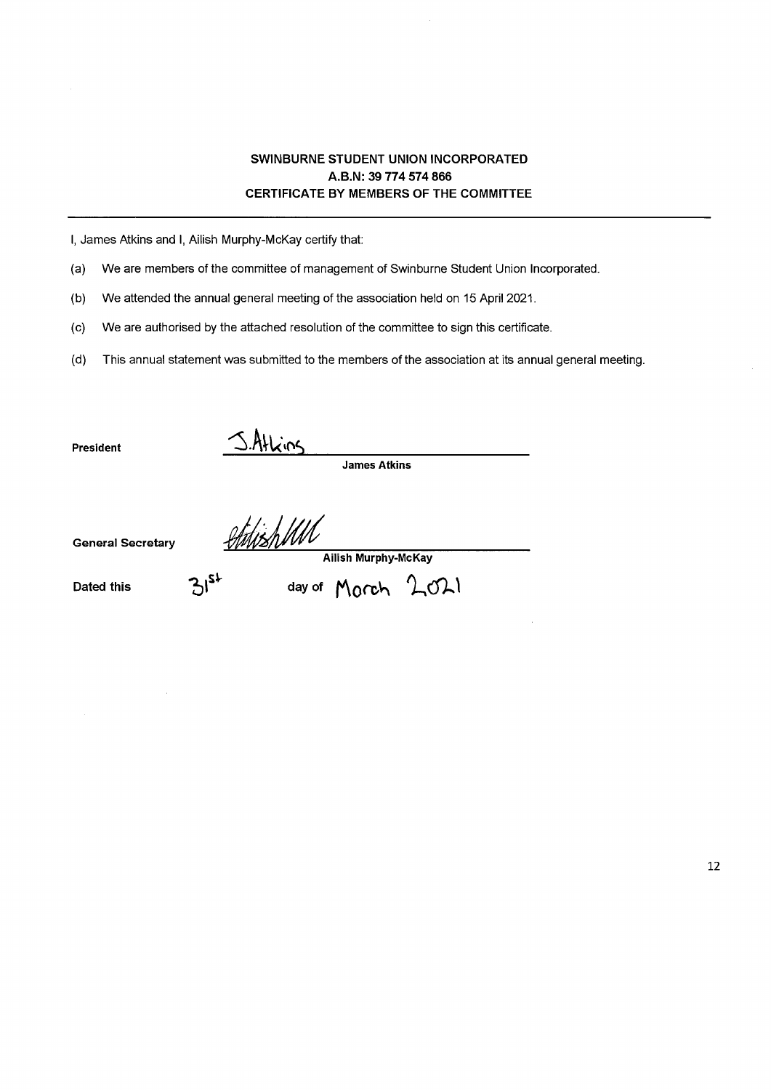# SWINBURNE STUDENT UNION INCORPORATED A.B.N: 39 774 574 866 **CERTIFICATE BY MEMBERS OF THE COMMITTEE**

I, James Atkins and I, Ailish Murphy-McKay certify that:

(a) We are members of the committee of management of Swinburne Student Union Incorporated.

We attended the annual general meeting of the association held on 15 April 2021.  $(b)$ 

 $(c)$ We are authorised by the attached resolution of the committee to sign this certificate.

This annual statement was submitted to the members of the association at its annual general meeting.  $(d)$ 

President

S.Atkins

**James Atkins** 

**General Secretary** 

Athish MM Ailish Murphy-McKay

day of Morch 2021

**Dated this** 

 $12,$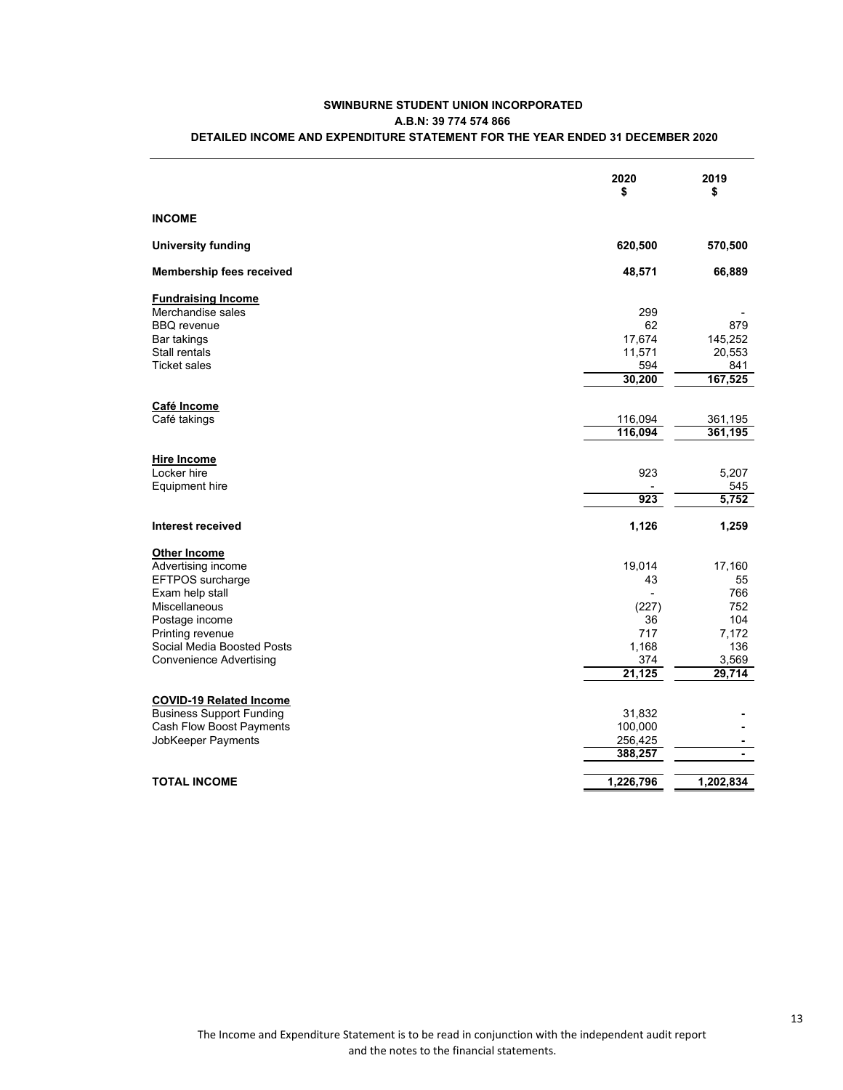|                                 | 2020<br>\$ | 2019<br>\$     |
|---------------------------------|------------|----------------|
| <b>INCOME</b>                   |            |                |
| <b>University funding</b>       | 620,500    | 570,500        |
| <b>Membership fees received</b> | 48,571     | 66,889         |
| <b>Fundraising Income</b>       |            |                |
| Merchandise sales               | 299        |                |
| <b>BBQ</b> revenue              | 62         | 879            |
| Bar takings                     | 17,674     | 145,252        |
| Stall rentals                   | 11,571     | 20,553         |
| <b>Ticket sales</b>             | 594        | 841            |
|                                 | 30,200     | 167,525        |
| Café Income                     |            |                |
| Café takings                    | 116,094    | 361,195        |
|                                 | 116,094    | 361,195        |
| <b>Hire Income</b>              |            |                |
| Locker hire                     | 923        | 5,207          |
| Equipment hire                  |            | 545            |
|                                 | 923        | 5,752          |
| Interest received               | 1,126      | 1,259          |
| Other Income                    |            |                |
| Advertising income              | 19,014     | 17,160         |
| EFTPOS surcharge                | 43         | 55             |
| Exam help stall                 |            | 766            |
| Miscellaneous                   | (227)      | 752            |
| Postage income                  | 36         | 104            |
| Printing revenue                | 717        | 7,172          |
| Social Media Boosted Posts      | 1,168      | 136            |
| <b>Convenience Advertising</b>  | 374        | 3,569          |
|                                 | 21,125     | 29,714         |
| <b>COVID-19 Related Income</b>  |            |                |
| <b>Business Support Funding</b> | 31,832     |                |
| Cash Flow Boost Payments        | 100,000    |                |
| JobKeeper Payments              | 256,425    |                |
|                                 | 388,257    | $\blacksquare$ |
| <b>TOTAL INCOME</b>             | 1,226,796  | 1,202,834      |
|                                 |            |                |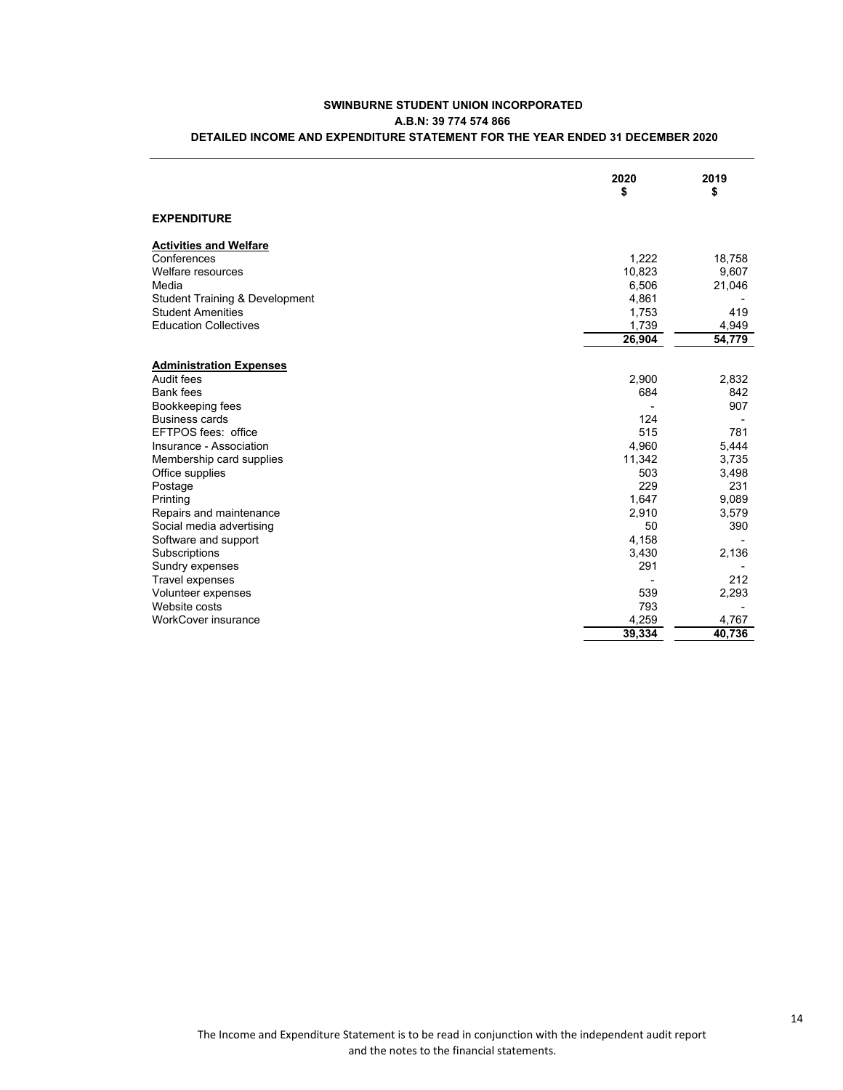|                                           | 2020<br>\$ | 2019<br>\$ |
|-------------------------------------------|------------|------------|
| <b>EXPENDITURE</b>                        |            |            |
| <b>Activities and Welfare</b>             |            |            |
| Conferences                               | 1,222      | 18,758     |
| Welfare resources                         | 10,823     | 9,607      |
| Media                                     | 6,506      | 21,046     |
| <b>Student Training &amp; Development</b> | 4,861      |            |
| <b>Student Amenities</b>                  | 1,753      | 419        |
| <b>Education Collectives</b>              | 1,739      | 4,949      |
|                                           | 26,904     | 54,779     |
| <b>Administration Expenses</b>            |            |            |
| Audit fees                                | 2,900      | 2,832      |
| <b>Bank fees</b>                          | 684        | 842        |
| Bookkeeping fees                          |            | 907        |
| <b>Business cards</b>                     | 124        |            |
| EFTPOS fees: office                       | 515        | 781        |
| Insurance - Association                   | 4,960      | 5,444      |
| Membership card supplies                  | 11,342     | 3,735      |
| Office supplies                           | 503        | 3,498      |
| Postage                                   | 229        | 231        |
| Printing                                  | 1,647      | 9,089      |
| Repairs and maintenance                   | 2,910      | 3,579      |
| Social media advertising                  | 50         | 390        |
| Software and support                      | 4,158      |            |
| Subscriptions                             | 3,430      | 2,136      |
| Sundry expenses                           | 291        |            |
| Travel expenses                           |            | 212        |
| Volunteer expenses                        | 539        | 2,293      |
| Website costs                             | 793        |            |
| <b>WorkCover insurance</b>                | 4,259      | 4,767      |
|                                           | 39,334     | 40.736     |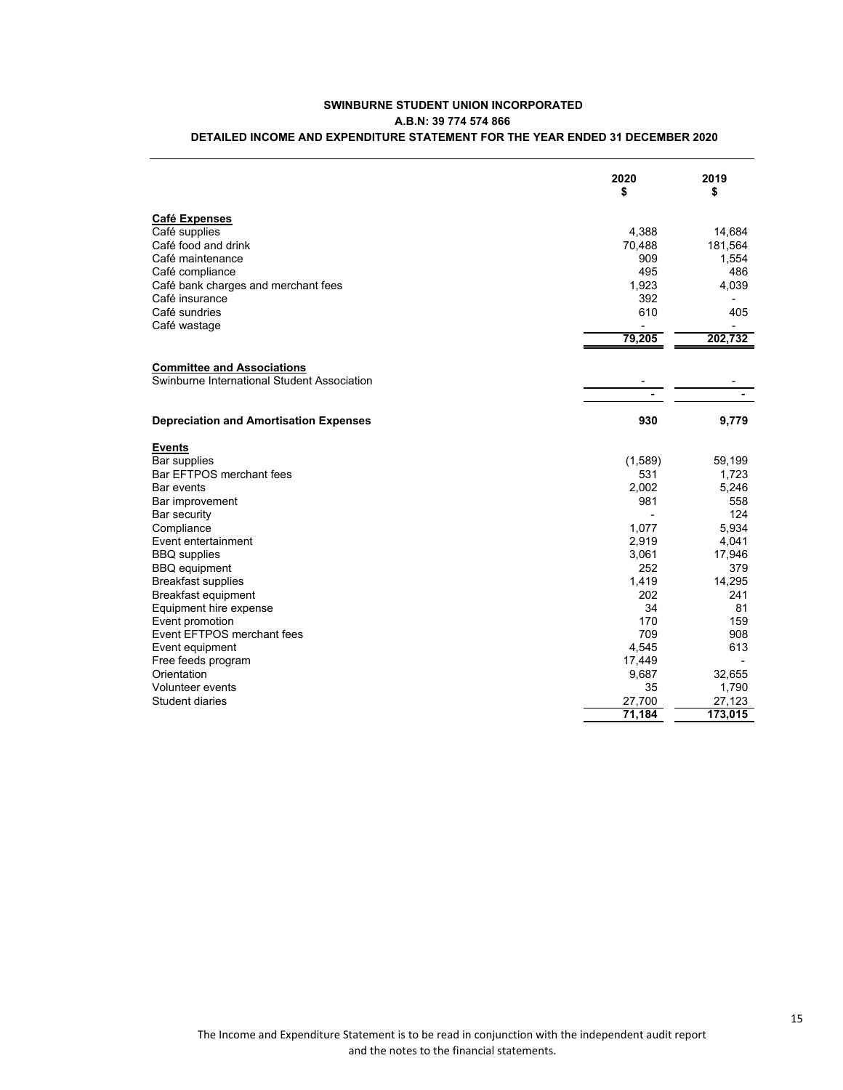| 4,388<br>Café food and drink<br>70,488<br>909<br>495<br>1,923<br>392<br>Café insurance<br>610<br>79,205<br>Swinburne International Student Association<br>930<br><b>Depreciation and Amortisation Expenses</b><br><b>Events</b><br>Bar supplies<br>(1,589)<br>Bar EFTPOS merchant fees<br>531<br>2,002<br>Bar events<br>981<br>Bar security<br>1,077<br>2,919<br>3,061<br>252<br>1,419<br><b>Breakfast supplies</b><br>Breakfast equipment<br>202<br>34<br>Equipment hire expense<br>170<br>709 |                      | 2020<br>\$ | 2019<br>\$      |
|-------------------------------------------------------------------------------------------------------------------------------------------------------------------------------------------------------------------------------------------------------------------------------------------------------------------------------------------------------------------------------------------------------------------------------------------------------------------------------------------------|----------------------|------------|-----------------|
| Café supplies<br>Café maintenance<br>Café compliance<br>Café bank charges and merchant fees<br>Café sundries<br>Café wastage<br><b>Committee and Associations</b><br>Bar improvement<br>Compliance<br>Event entertainment<br><b>BBQ</b> supplies<br><b>BBQ</b> equipment<br>Event promotion<br>Event EFTPOS merchant fees                                                                                                                                                                       | <b>Café Expenses</b> |            |                 |
|                                                                                                                                                                                                                                                                                                                                                                                                                                                                                                 |                      |            | 14,684          |
|                                                                                                                                                                                                                                                                                                                                                                                                                                                                                                 |                      |            | 181,564         |
|                                                                                                                                                                                                                                                                                                                                                                                                                                                                                                 |                      |            | 1,554           |
|                                                                                                                                                                                                                                                                                                                                                                                                                                                                                                 |                      |            | 486             |
|                                                                                                                                                                                                                                                                                                                                                                                                                                                                                                 |                      |            | 4,039           |
|                                                                                                                                                                                                                                                                                                                                                                                                                                                                                                 |                      |            |                 |
|                                                                                                                                                                                                                                                                                                                                                                                                                                                                                                 |                      |            | 405             |
|                                                                                                                                                                                                                                                                                                                                                                                                                                                                                                 |                      |            |                 |
|                                                                                                                                                                                                                                                                                                                                                                                                                                                                                                 |                      |            | 202,732         |
|                                                                                                                                                                                                                                                                                                                                                                                                                                                                                                 |                      |            |                 |
|                                                                                                                                                                                                                                                                                                                                                                                                                                                                                                 |                      |            |                 |
|                                                                                                                                                                                                                                                                                                                                                                                                                                                                                                 |                      |            |                 |
|                                                                                                                                                                                                                                                                                                                                                                                                                                                                                                 |                      |            | 9,779           |
|                                                                                                                                                                                                                                                                                                                                                                                                                                                                                                 |                      |            |                 |
|                                                                                                                                                                                                                                                                                                                                                                                                                                                                                                 |                      |            | 59,199          |
|                                                                                                                                                                                                                                                                                                                                                                                                                                                                                                 |                      |            | 1,723           |
|                                                                                                                                                                                                                                                                                                                                                                                                                                                                                                 |                      |            | 5,246           |
|                                                                                                                                                                                                                                                                                                                                                                                                                                                                                                 |                      |            | 558             |
|                                                                                                                                                                                                                                                                                                                                                                                                                                                                                                 |                      |            | 124             |
|                                                                                                                                                                                                                                                                                                                                                                                                                                                                                                 |                      |            | 5.934           |
|                                                                                                                                                                                                                                                                                                                                                                                                                                                                                                 |                      |            | 4,041           |
|                                                                                                                                                                                                                                                                                                                                                                                                                                                                                                 |                      |            | 17,946          |
|                                                                                                                                                                                                                                                                                                                                                                                                                                                                                                 |                      |            | 379             |
|                                                                                                                                                                                                                                                                                                                                                                                                                                                                                                 |                      |            | 14,295          |
|                                                                                                                                                                                                                                                                                                                                                                                                                                                                                                 |                      |            | 241             |
|                                                                                                                                                                                                                                                                                                                                                                                                                                                                                                 |                      |            | 81              |
|                                                                                                                                                                                                                                                                                                                                                                                                                                                                                                 |                      |            | 159             |
|                                                                                                                                                                                                                                                                                                                                                                                                                                                                                                 |                      |            | 908             |
| 4,545<br>Event equipment                                                                                                                                                                                                                                                                                                                                                                                                                                                                        |                      |            | 613             |
| Free feeds program<br>17,449                                                                                                                                                                                                                                                                                                                                                                                                                                                                    |                      |            |                 |
| Orientation<br>9,687<br>Volunteer events<br>35                                                                                                                                                                                                                                                                                                                                                                                                                                                  |                      |            | 32,655<br>1,790 |
| Student diaries<br>27,700                                                                                                                                                                                                                                                                                                                                                                                                                                                                       |                      |            | 27,123          |
| 71,184                                                                                                                                                                                                                                                                                                                                                                                                                                                                                          |                      |            | 173,015         |